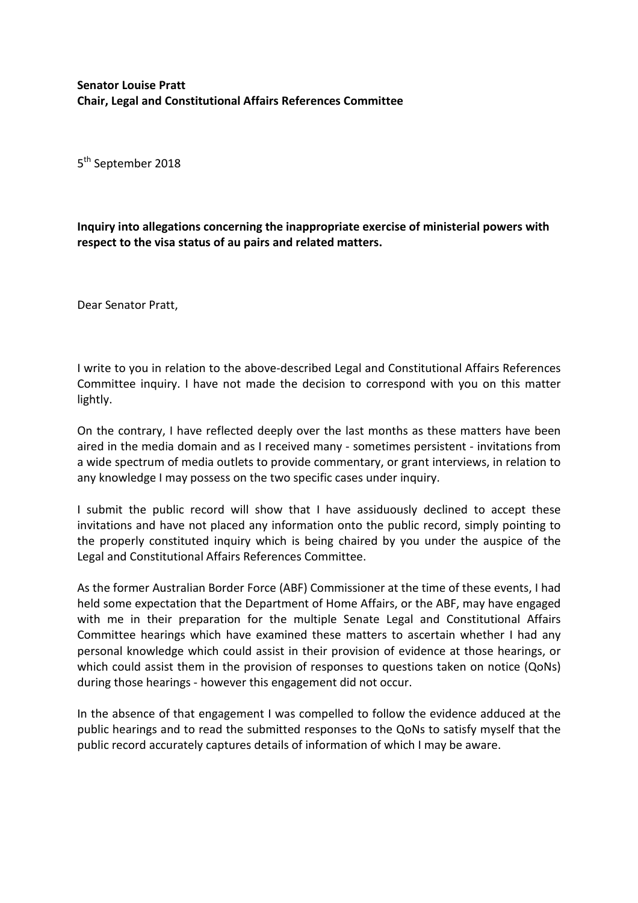5<sup>th</sup> September 2018

**Inquiry into allegations concerning the inappropriate exercise of ministerial powers with respect to the visa status of au pairs and related matters.**

Dear Senator Pratt,

I write to you in relation to the above-described Legal and Constitutional Affairs References Committee inquiry. I have not made the decision to correspond with you on this matter lightly.

On the contrary, I have reflected deeply over the last months as these matters have been aired in the media domain and as I received many - sometimes persistent - invitations from a wide spectrum of media outlets to provide commentary, or grant interviews, in relation to any knowledge I may possess on the two specific cases under inquiry.

I submit the public record will show that I have assiduously declined to accept these invitations and have not placed any information onto the public record, simply pointing to the properly constituted inquiry which is being chaired by you under the auspice of the Legal and Constitutional Affairs References Committee.

As the former Australian Border Force (ABF) Commissioner at the time of these events, I had held some expectation that the Department of Home Affairs, or the ABF, may have engaged with me in their preparation for the multiple Senate Legal and Constitutional Affairs Committee hearings which have examined these matters to ascertain whether I had any personal knowledge which could assist in their provision of evidence at those hearings, or which could assist them in the provision of responses to questions taken on notice (QoNs) during those hearings - however this engagement did not occur.

In the absence of that engagement I was compelled to follow the evidence adduced at the public hearings and to read the submitted responses to the QoNs to satisfy myself that the public record accurately captures details of information of which I may be aware.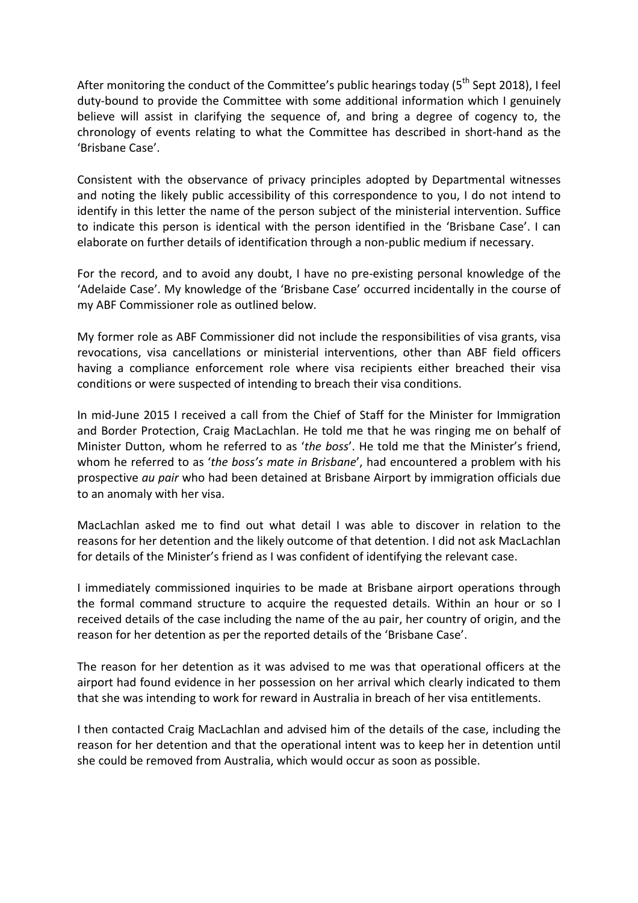After monitoring the conduct of the Committee's public hearings today ( $5<sup>th</sup>$  Sept 2018), I feel duty-bound to provide the Committee with some additional information which I genuinely believe will assist in clarifying the sequence of, and bring a degree of cogency to, the chronology of events relating to what the Committee has described in short-hand as the 'Brisbane Case'.

Consistent with the observance of privacy principles adopted by Departmental witnesses and noting the likely public accessibility of this correspondence to you, I do not intend to identify in this letter the name of the person subject of the ministerial intervention. Suffice to indicate this person is identical with the person identified in the 'Brisbane Case'. I can elaborate on further details of identification through a non-public medium if necessary.

For the record, and to avoid any doubt, I have no pre-existing personal knowledge of the 'Adelaide Case'. My knowledge of the 'Brisbane Case' occurred incidentally in the course of my ABF Commissioner role as outlined below.

My former role as ABF Commissioner did not include the responsibilities of visa grants, visa revocations, visa cancellations or ministerial interventions, other than ABF field officers having a compliance enforcement role where visa recipients either breached their visa conditions or were suspected of intending to breach their visa conditions.

In mid-June 2015 I received a call from the Chief of Staff for the Minister for Immigration and Border Protection, Craig MacLachlan. He told me that he was ringing me on behalf of Minister Dutton, whom he referred to as '*the boss*'. He told me that the Minister's friend, whom he referred to as '*the boss's mate in Brisbane*', had encountered a problem with his prospective *au pair* who had been detained at Brisbane Airport by immigration officials due to an anomaly with her visa.

MacLachlan asked me to find out what detail I was able to discover in relation to the reasons for her detention and the likely outcome of that detention. I did not ask MacLachlan for details of the Minister's friend as I was confident of identifying the relevant case.

I immediately commissioned inquiries to be made at Brisbane airport operations through the formal command structure to acquire the requested details. Within an hour or so I received details of the case including the name of the au pair, her country of origin, and the reason for her detention as per the reported details of the 'Brisbane Case'.

The reason for her detention as it was advised to me was that operational officers at the airport had found evidence in her possession on her arrival which clearly indicated to them that she was intending to work for reward in Australia in breach of her visa entitlements.

I then contacted Craig MacLachlan and advised him of the details of the case, including the reason for her detention and that the operational intent was to keep her in detention until she could be removed from Australia, which would occur as soon as possible.